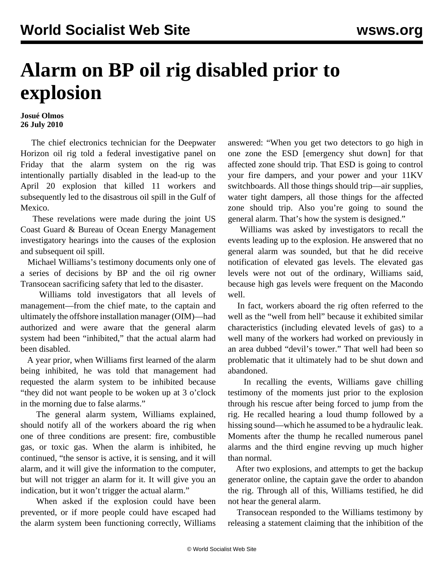## **Alarm on BP oil rig disabled prior to explosion**

## **Josué Olmos 26 July 2010**

 The chief electronics technician for the Deepwater Horizon oil rig told a federal investigative panel on Friday that the alarm system on the rig was intentionally partially disabled in the lead-up to the April 20 explosion that killed 11 workers and subsequently led to the disastrous oil spill in the Gulf of Mexico.

 These revelations were made during the joint US Coast Guard & Bureau of Ocean Energy Management investigatory hearings into the causes of the explosion and subsequent oil spill.

 Michael Williams's testimony documents only one of a series of decisions by BP and the oil rig owner Transocean sacrificing safety that led to the disaster.

 Williams told investigators that all levels of management—from the chief mate, to the captain and ultimately the offshore installation manager (OIM)—had authorized and were aware that the general alarm system had been "inhibited," that the actual alarm had been disabled.

 A year prior, when Williams first learned of the alarm being inhibited, he was told that management had requested the alarm system to be inhibited because "they did not want people to be woken up at 3 o'clock in the morning due to false alarms."

 The general alarm system, Williams explained, should notify all of the workers aboard the rig when one of three conditions are present: fire, combustible gas, or toxic gas. When the alarm is inhibited, he continued, "the sensor is active, it is sensing, and it will alarm, and it will give the information to the computer, but will not trigger an alarm for it. It will give you an indication, but it won't trigger the actual alarm."

 When asked if the explosion could have been prevented, or if more people could have escaped had the alarm system been functioning correctly, Williams answered: "When you get two detectors to go high in one zone the ESD [emergency shut down] for that affected zone should trip. That ESD is going to control your fire dampers, and your power and your 11KV switchboards. All those things should trip—air supplies, water tight dampers, all those things for the affected zone should trip. Also you're going to sound the general alarm. That's how the system is designed."

 Williams was asked by investigators to recall the events leading up to the explosion. He answered that no general alarm was sounded, but that he did receive notification of elevated gas levels. The elevated gas levels were not out of the ordinary, Williams said, because high gas levels were frequent on the Macondo well.

 In fact, workers aboard the rig often referred to the well as the "well from hell" because it exhibited similar characteristics (including elevated levels of gas) to a well many of the workers had worked on previously in an area dubbed "devil's tower." That well had been so problematic that it ultimately had to be shut down and abandoned.

 In recalling the events, Williams gave chilling testimony of the moments just prior to the explosion through his rescue after being forced to jump from the rig. He recalled hearing a loud thump followed by a hissing sound—which he assumed to be a hydraulic leak. Moments after the thump he recalled numerous panel alarms and the third engine revving up much higher than normal.

 After two explosions, and attempts to get the backup generator online, the captain gave the order to abandon the rig. Through all of this, Williams testified, he did not hear the general alarm.

 Transocean responded to the Williams testimony by releasing a statement claiming that the inhibition of the